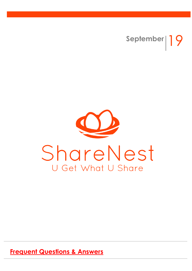



**Frequent Questions & Answers**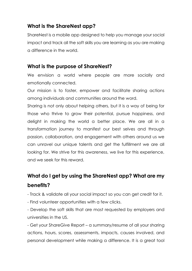#### **What is the ShareNest app?**

ShareNest is a mobile app designed to help you manage your social impact and track all the soft skills you are learning as you are making a difference in the world.

### **What is the purpose of ShareNest?**

We envision a world where people are more socially and emotionally connected.

Our mission is to foster, empower and facilitate sharing actions among individuals and communities around the word.

Sharing is not only about helping others, but it is a way of being for those who thrive to grow their potential, pursue happiness, and delight in making the world a better place. We are all in a transformation journey to manifest our best selves and through passion, collaboration, and engagement with others around us we can unravel our unique talents and get the fulfillment we are all looking for. We strive for this awareness, we live for this experience, and we seek for this reward.

# **What do I get by using the ShareNest app? What are my benefits?**

- Track & validate all your social impact so you can get credit for it.

- Find volunteer opportunities with a few clicks.

- Develop the soft skills that are most requested by employers and universities in the US.

- Get your ShareGive Report – a summary/resume of all your sharing actions, hours, scores, assessments, impacts, causes involved, and personal development while making a difference. It is a great tool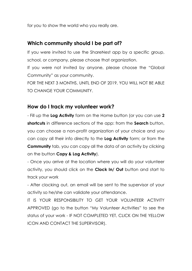for you to show the world who you really are.

### **Which community should I be part of?**

If you were invited to use the ShareNest app by a specific group, school, or company, please choose that organization.

If you were not invited by anyone, please choose the "Global Community" as your community.

FOR THE NEXT 3 MONTHS, UNITL END OF 2019, YOU WILL NOT BE ABLE TO CHANGE YOUR COMMUNITY.

#### **How do I track my volunteer work?**

- Fill up the **Log Activity** form on the Home button (or you can use **2 shortcuts** in difference sections of the app: from the **Search** button, you can choose a non-profit organization of your choice and you can copy all their info directly to the **Log Activity** form; or from the **Community** tab, you can copy all the data of an activity by clicking on the button **Copy & Log Activity**).

- Once you arrive at the location where you will do your volunteer activity, you should click on the **Clock In/ Out** button and start to track your work

- After clocking out, an email will be sent to the supervisor of your activity so he/she can validate your attendance.

IT IS YOUR RESPONSIBILITY TO GET YOUR VOLUNTEER ACTIVITY APPROVED (go to the button "My Volunteer Activities" to see the status of your work - IF NOT COMPLETED YET, CLICK ON THE YELLOW ICON AND CONTACT THE SUPERVISOR).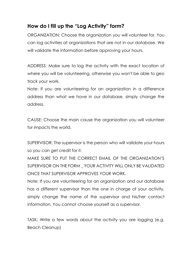## **How do I fill up the "Log Activity" form?**

ORGANIZATION: Choose the organization you will volunteer for. You can log activities at organizations that are not in our database. We will validate the information before approving your hours.

ADDRESS: Make sure to log the activity with the exact location of where you will be volunteering, otherwise you won't be able to geo track your work.

Note: If you are volunteering for an organization in a difference address than what we have in our database, simply change the address.

CAUSE: Choose the main cause the organization you will volunteer for impacts the world.

SUPERVISOR: The supervisor is the person who will validate your hours so you can get credit for it.

MAKE SURE TO PUT THE CORRECT EMAIL OF THE ORGANIZATION'S SUPERVISOR ON THE FORM \_ YOUR ACTIVITY WILL ONLY BE VALIDATED ONCE THAT SUPERVISOR APPROVES YOUR WORK.

Note: If you are volunteering for an organization and our database has a different supervisor than the one in charge of your activity, simply change the name of the supervisor and his/her contact information. You cannot choose yourself as a supervisor.

TASK: Write a few words about the activity you are logging (e.g. Beach Cleanup)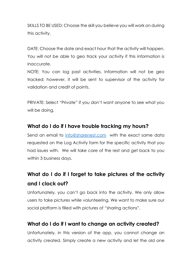SKILLS TO BE USED: Choose the skill you believe you will work on during this activity.

DATE: Choose the date and exact hour that the activity will happen. You will not be able to geo track your activity if this information is inaccurate.

NOTE: You can log past activities. Information will not be geo tracked; however, it will be sent to supervisor of the activity for validation and credit of points.

PRIVATE: Select "Private" if you don't want anyone to see what you will be doing.

#### **What do I do if I have trouble tracking my hours?**

Send an email to [info@sharenest.com](mailto:info@sharenest.com) with the exact same data requested on the Log Activity form for the specific activity that you had issues with. We will take care of the rest and get back to you within 3 business days.

# **What do I do if I forget to take pictures of the activity and I clock out?**

Unfortunately, you can't go back into the activity. We only allow users to take pictures while volunteering. We want to make sure our social platform is filled with pictures of "sharing actions".

### **What do I do if I want to change an activity created?**

Unfortunately, in this version of the app, you cannot change an activity created. Simply create a new activity and let the old one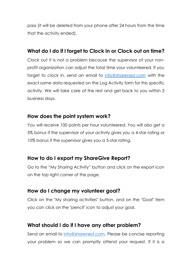pass (it will be deleted from your phone after 24 hours from the time that the activity ended).

#### **What do I do if I forget to Clock in or Clock out on time?**

Clock out it is not a problem because the supervisor of your nonprofit organization can adjust the total time your volunteered. If you forget to clock in, send an email to [info@sharenest.com](mailto:info@sharenest.com) with the exact same data requested on the Log Activity form for this specific activity. We will take care of the rest and get back to you within 3 business days.

#### **How does the point system work?**

You will receive 100 points per hour volunteered. You will also get a 5% bonus if the supervisor of your activity gives you a 4-star rating or 10% bonus if the supervisor gives you a 5-star rating.

#### **How to do I export my ShareGive Report?**

Go to the "My Sharing Activity" button and click on the export icon on the top right corner of the page.

#### **How do I change my volunteer goal?**

Click on the "My sharing activities" button, and on the "Goal" item you can click on the "pencil" icon to adjust your goal.

### **What should I do if I have any other problem?**

Send an email to [info@sharenest.com.](mailto:info@sharenest.com) Please be concise reporting your problem so we can promptly attend your request. If it is a